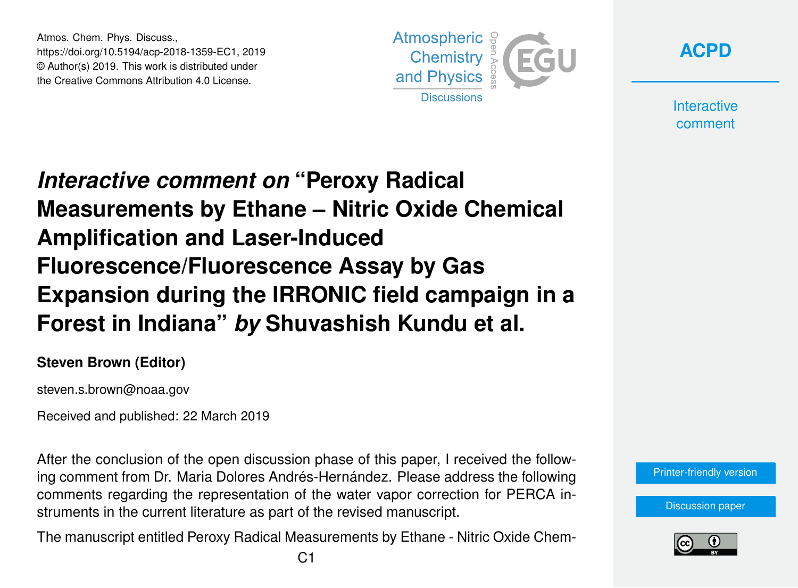Atmos. Chem. Phys. Discuss., https://doi.org/10.5194/acp-2018-1359-EC1, 2019 © Author(s) 2019. This work is distributed under the Creative Commons Attribution 4.0 License.



**[ACPD](https://www.atmos-chem-phys-discuss.net/)**

**Interactive** comment

## *Interactive comment on* **"Peroxy Radical Measurements by Ethane – Nitric Oxide Chemical Amplification and Laser-Induced Fluorescence/Fluorescence Assay by Gas Expansion during the IRRONIC field campaign in a Forest in Indiana"** *by* **Shuvashish Kundu et al.**

## **Steven Brown (Editor)**

steven.s.brown@noaa.gov

Received and published: 22 March 2019

After the conclusion of the open discussion phase of this paper, I received the following comment from Dr. Maria Dolores Andrés-Hernández. Please address the following comments regarding the representation of the water vapor correction for PERCA instruments in the current literature as part of the revised manuscript.

The manuscript entitled Peroxy Radical Measurements by Ethane - Nitric Oxide Chem-



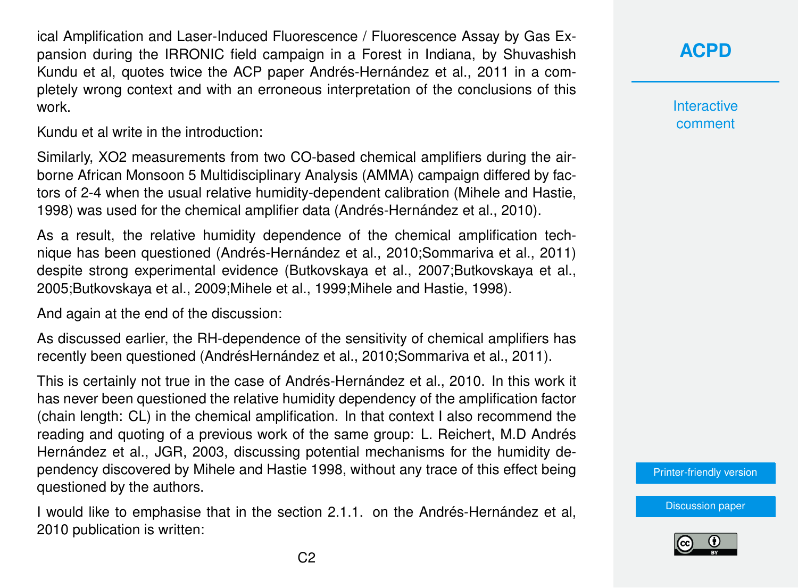ical Amplification and Laser-Induced Fluorescence / Fluorescence Assay by Gas Expansion during the IRRONIC field campaign in a Forest in Indiana, by Shuvashish Kundu et al, quotes twice the ACP paper Andrés-Hernández et al., 2011 in a completely wrong context and with an erroneous interpretation of the conclusions of this work.

Kundu et al write in the introduction:

Similarly, XO2 measurements from two CO-based chemical amplifiers during the airborne African Monsoon 5 Multidisciplinary Analysis (AMMA) campaign differed by factors of 2-4 when the usual relative humidity-dependent calibration (Mihele and Hastie, 1998) was used for the chemical amplifier data (Andrés-Hernández et al., 2010).

As a result, the relative humidity dependence of the chemical amplification technique has been questioned (Andrés-Hernández et al., 2010;Sommariva et al., 2011) despite strong experimental evidence (Butkovskaya et al., 2007;Butkovskaya et al., 2005;Butkovskaya et al., 2009;Mihele et al., 1999;Mihele and Hastie, 1998).

And again at the end of the discussion:

As discussed earlier, the RH-dependence of the sensitivity of chemical amplifiers has recently been questioned (AndrésHernández et al., 2010;Sommariva et al., 2011).

This is certainly not true in the case of Andrés-Hernández et al., 2010. In this work it has never been questioned the relative humidity dependency of the amplification factor (chain length: CL) in the chemical amplification. In that context I also recommend the reading and quoting of a previous work of the same group: L. Reichert, M.D Andrés Hernández et al., JGR, 2003, discussing potential mechanisms for the humidity dependency discovered by Mihele and Hastie 1998, without any trace of this effect being questioned by the authors.

I would like to emphasise that in the section 2.1.1. on the Andrés-Hernández et al, 2010 publication is written:

**[ACPD](https://www.atmos-chem-phys-discuss.net/)**

**Interactive** comment

[Printer-friendly version](https://www.atmos-chem-phys-discuss.net/acp-2018-1359/acp-2018-1359-EC1-print.pdf)

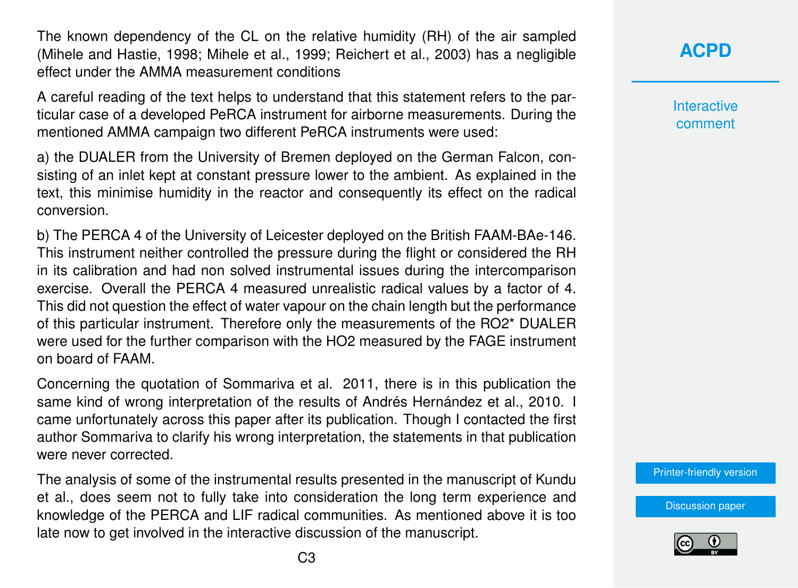The known dependency of the CL on the relative humidity (RH) of the air sampled (Mihele and Hastie, 1998; Mihele et al., 1999; Reichert et al., 2003) has a negligible effect under the AMMA measurement conditions

A careful reading of the text helps to understand that this statement refers to the particular case of a developed PeRCA instrument for airborne measurements. During the mentioned AMMA campaign two different PeRCA instruments were used:

a) the DUALER from the University of Bremen deployed on the German Falcon, consisting of an inlet kept at constant pressure lower to the ambient. As explained in the text, this minimise humidity in the reactor and consequently its effect on the radical conversion.

b) The PERCA 4 of the University of Leicester deployed on the British FAAM-BAe-146. This instrument neither controlled the pressure during the flight or considered the RH in its calibration and had non solved instrumental issues during the intercomparison exercise. Overall the PERCA 4 measured unrealistic radical values by a factor of 4. This did not question the effect of water vapour on the chain length but the performance of this particular instrument. Therefore only the measurements of the RO2\* DUALER were used for the further comparison with the HO2 measured by the FAGE instrument on board of FAAM.

Concerning the quotation of Sommariva et al. 2011, there is in this publication the same kind of wrong interpretation of the results of Andrés Hernández et al., 2010. I came unfortunately across this paper after its publication. Though I contacted the first author Sommariva to clarify his wrong interpretation, the statements in that publication were never corrected.

The analysis of some of the instrumental results presented in the manuscript of Kundu et al., does seem not to fully take into consideration the long term experience and knowledge of the PERCA and LIF radical communities. As mentioned above it is too late now to get involved in the interactive discussion of the manuscript.

**[ACPD](https://www.atmos-chem-phys-discuss.net/)**

**Interactive** comment

[Printer-friendly version](https://www.atmos-chem-phys-discuss.net/acp-2018-1359/acp-2018-1359-EC1-print.pdf)